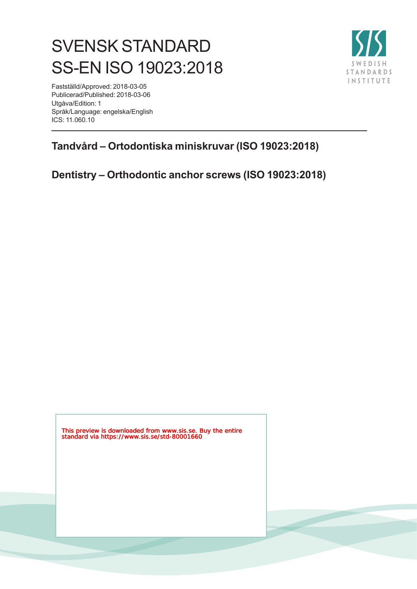# SVENSK STANDARD SS-EN ISO 19023:2018



Fastställd/Approved: 2018-03-05 Publicerad/Published: 2018-03-06 Utgåva/Edition: 1 Språk/Language: engelska/English ICS: 11.060.10

## **Tandvård – Ortodontiska miniskruvar (ISO 19023:2018)**

**Dentistry – Orthodontic anchor screws (ISO 19023:2018)**

This preview is downloaded from www.sis.se. Buy the entire standard via https://www.sis.se/std-80001660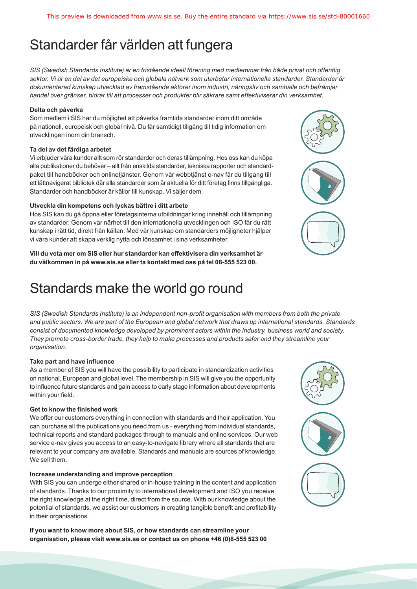# Standarder får världen att fungera

*SIS (Swedish Standards Institute) är en fristående ideell förening med medlemmar från både privat och offentlig sektor. Vi är en del av det europeiska och globala nätverk som utarbetar internationella standarder. Standarder är dokumenterad kunskap utvecklad av framstående aktörer inom industri, näringsliv och samhälle och befrämjar handel över gränser, bidrar till att processer och produkter blir säkrare samt effektiviserar din verksamhet.* 

### **Delta och påverka**

Som medlem i SIS har du möjlighet att påverka framtida standarder inom ditt område på nationell, europeisk och global nivå. Du får samtidigt tillgång till tidig information om utvecklingen inom din bransch.

### **Ta del av det färdiga arbetet**

Vi erbjuder våra kunder allt som rör standarder och deras tillämpning. Hos oss kan du köpa alla publikationer du behöver – allt från enskilda standarder, tekniska rapporter och standardpaket till handböcker och onlinetjänster. Genom vår webbtjänst e-nav får du tillgång till ett lättnavigerat bibliotek där alla standarder som är aktuella för ditt företag finns tillgängliga. Standarder och handböcker är källor till kunskap. Vi säljer dem.

### **Utveckla din kompetens och lyckas bättre i ditt arbete**

Hos SIS kan du gå öppna eller företagsinterna utbildningar kring innehåll och tillämpning av standarder. Genom vår närhet till den internationella utvecklingen och ISO får du rätt kunskap i rätt tid, direkt från källan. Med vår kunskap om standarders möjligheter hjälper vi våra kunder att skapa verklig nytta och lönsamhet i sina verksamheter.

**Vill du veta mer om SIS eller hur standarder kan effektivisera din verksamhet är du välkommen in på www.sis.se eller ta kontakt med oss på tel 08-555 523 00.**

## Standards make the world go round

*SIS (Swedish Standards Institute) is an independent non-profit organisation with members from both the private and public sectors. We are part of the European and global network that draws up international standards. Standards consist of documented knowledge developed by prominent actors within the industry, business world and society. They promote cross-border trade, they help to make processes and products safer and they streamline your organisation.*

### **Take part and have influence**

As a member of SIS you will have the possibility to participate in standardization activities on national, European and global level. The membership in SIS will give you the opportunity to influence future standards and gain access to early stage information about developments within your field.

### **Get to know the finished work**

We offer our customers everything in connection with standards and their application. You can purchase all the publications you need from us - everything from individual standards, technical reports and standard packages through to manuals and online services. Our web service e-nav gives you access to an easy-to-navigate library where all standards that are relevant to your company are available. Standards and manuals are sources of knowledge. We sell them.

### **Increase understanding and improve perception**

With SIS you can undergo either shared or in-house training in the content and application of standards. Thanks to our proximity to international development and ISO you receive the right knowledge at the right time, direct from the source. With our knowledge about the potential of standards, we assist our customers in creating tangible benefit and profitability in their organisations.

**If you want to know more about SIS, or how standards can streamline your organisation, please visit www.sis.se or contact us on phone +46 (0)8-555 523 00**



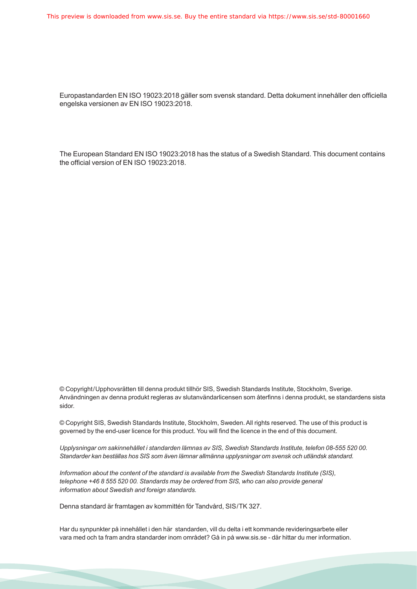Europastandarden EN ISO 19023:2018 gäller som svensk standard. Detta dokument innehåller den officiella engelska versionen av EN ISO 19023:2018.

The European Standard EN ISO 19023:2018 has the status of a Swedish Standard. This document contains the official version of EN ISO 19023:2018.

© Copyright / Upphovsrätten till denna produkt tillhör SIS, Swedish Standards Institute, Stockholm, Sverige. Användningen av denna produkt regleras av slutanvändarlicensen som återfinns i denna produkt, se standardens sista sidor.

© Copyright SIS, Swedish Standards Institute, Stockholm, Sweden. All rights reserved. The use of this product is governed by the end-user licence for this product. You will find the licence in the end of this document.

*Upplysningar om sakinnehållet i standarden lämnas av SIS, Swedish Standards Institute, telefon 08-555 520 00. Standarder kan beställas hos SIS som även lämnar allmänna upplysningar om svensk och utländsk standard.*

*Information about the content of the standard is available from the Swedish Standards Institute (SIS), telephone +46 8 555 520 00. Standards may be ordered from SIS, who can also provide general information about Swedish and foreign standards.*

Denna standard är framtagen av kommittén för Tandvård, SIS / TK 327.

Har du synpunkter på innehållet i den här standarden, vill du delta i ett kommande revideringsarbete eller vara med och ta fram andra standarder inom området? Gå in på www.sis.se - där hittar du mer information.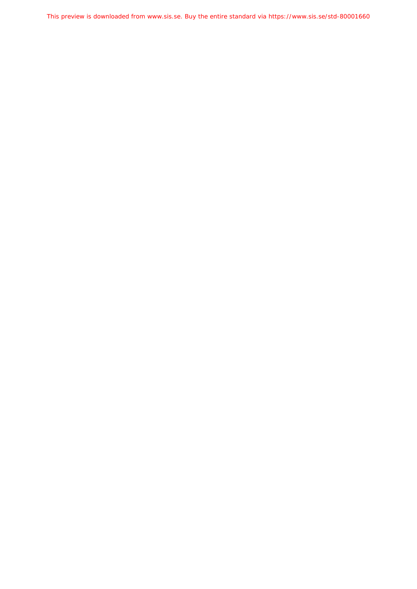This preview is downloaded from www.sis.se. Buy the entire standard via https://www.sis.se/std-80001660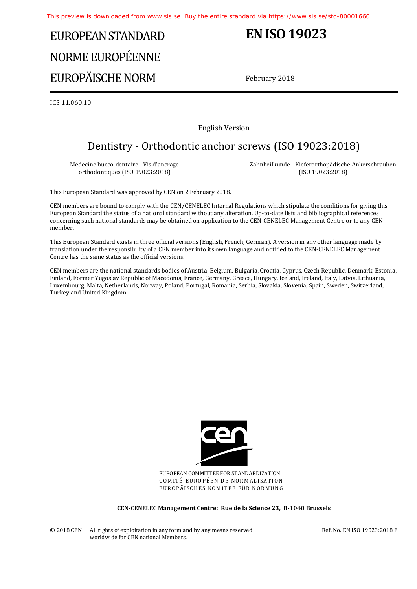# EUROPEAN STANDARD NORME EUROPÉENNE EUROPÄISCHE NORM

# **EN ISO 19023**

February 2018

ICS 11.060.10

English Version

## Dentistry - Orthodontic anchor screws (ISO 19023:2018)

Médecine bucco-dentaire - Vis d'ancrage orthodontiques (ISO 19023:2018)

 Zahnheilkunde - Kieferorthopädische Ankerschrauben (ISO 19023:2018)

This European Standard was approved by CEN on 2 February 2018.

CEN members are bound to comply with the CEN/CENELEC Internal Regulations which stipulate the conditions for giving this European Standard the status of a national standard without any alteration. Up-to-date lists and bibliographical references concerning such national standards may be obtained on application to the CEN-CENELEC Management Centre or to any CEN member.

This European Standard exists in three official versions (English, French, German). A version in any other language made by translation under the responsibility of a CEN member into its own language and notified to the CEN-CENELEC Management Centre has the same status as the official versions.

CEN members are the national standards bodies of Austria, Belgium, Bulgaria, Croatia, Cyprus, Czech Republic, Denmark, Estonia, Finland, Former Yugoslav Republic of Macedonia, France, Germany, Greece, Hungary, Iceland, Ireland, Italy, Latvia, Lithuania, Luxembourg, Malta, Netherlands, Norway, Poland, Portugal, Romania, Serbia, Slovakia, Slovenia, Spain, Sweden, Switzerland, Turkey and United Kingdom.



EUROPEAN COMMITTEE FOR STANDARDIZATION COMITÉ EUROPÉEN DE NORMALISATION EUROPÄISCHES KOMITEE FÜR NORMUNG

**CEN-CENELEC Management Centre: Rue de la Science 23, B-1040 Brussels** 

Ref. No. EN ISO 19023:2018 E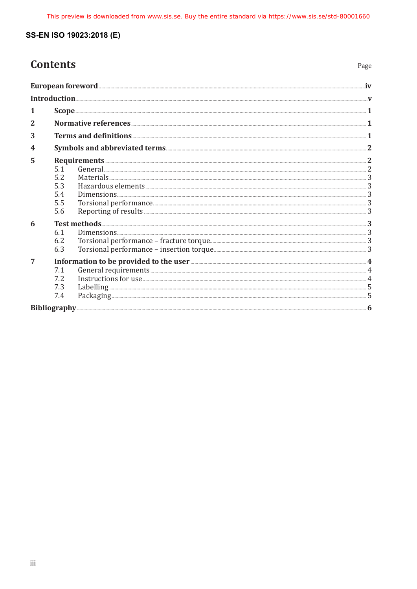### SS-EN ISO 19023:2018 (E)

## **Contents**

Page

|   | European foreword                                                                                                                                                                                                                                                                                                                             |  |
|---|-----------------------------------------------------------------------------------------------------------------------------------------------------------------------------------------------------------------------------------------------------------------------------------------------------------------------------------------------|--|
|   | Introduction with a substitution with a state of the state of the state of the state of the state of the state of the state of the state of the state of the state of the state of the state of the state of the state of the                                                                                                                 |  |
|   |                                                                                                                                                                                                                                                                                                                                               |  |
|   |                                                                                                                                                                                                                                                                                                                                               |  |
| 3 |                                                                                                                                                                                                                                                                                                                                               |  |
| 4 |                                                                                                                                                                                                                                                                                                                                               |  |
| 5 | Requirements 2<br>5.1<br>5.2<br>Hazardous elements 3<br>5.3<br>5.4<br>5.5<br>5.6                                                                                                                                                                                                                                                              |  |
| 6 | $\textbf{Test methods} \textcolor{red}{\textbf{.}} \textcolor{red}{3}$<br>Dimensions 3<br>6.1<br>6.2<br>Torsional performance - insertion torque <b>Exercise According to the Contract Office</b> 3<br>6.3                                                                                                                                    |  |
| 7 | Information to be provided to the user <b>Manufacture of the Section</b> 4<br>General requirements <b>contracts</b> and the set of the set of the set of the set of the set of the set of the set of the set of the set of the set of the set of the set of the set of the set of the set of the set of the set o<br>7.1<br>7.2<br>7.3<br>7.4 |  |
|   |                                                                                                                                                                                                                                                                                                                                               |  |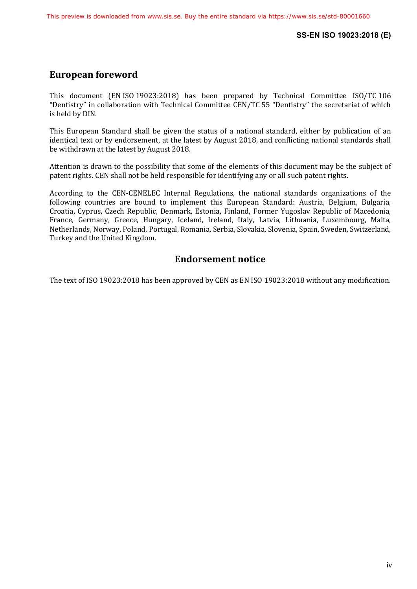**SS-EN ISO 19023:2018 (E)**

## **European foreword**

This document (EN ISO 19023:2018) has been prepared by Technical Committee ISO/TC 106 "Dentistry" in collaboration with Technical Committee CEN/TC 55 "Dentistry" the secretariat of which is held by DIN.

This European Standard shall be given the status of a national standard, either by publication of an identical text or by endorsement, at the latest by August 2018, and conflicting national standards shall be withdrawn at the latest by August 2018.

Attention is drawn to the possibility that some of the elements of this document may be the subject of patent rights. CEN shall not be held responsible for identifying any or all such patent rights.

According to the CEN-CENELEC Internal Regulations, the national standards organizations of the following countries are bound to implement this European Standard: Austria, Belgium, Bulgaria, Croatia, Cyprus, Czech Republic, Denmark, Estonia, Finland, Former Yugoslav Republic of Macedonia, France, Germany, Greece, Hungary, Iceland, Ireland, Italy, Latvia, Lithuania, Luxembourg, Malta, Netherlands, Norway, Poland, Portugal, Romania, Serbia, Slovakia, Slovenia, Spain, Sweden, Switzerland, Turkey and the United Kingdom.

## **Endorsement notice**

The text of ISO 19023:2018 has been approved by CEN as EN ISO 19023:2018 without any modification.